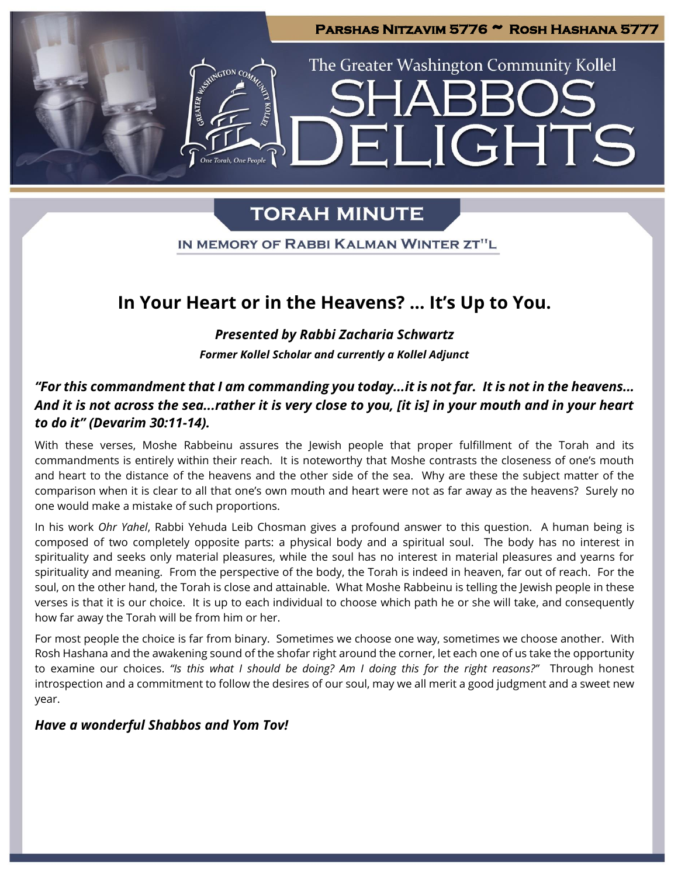

IGHT

The Greater Washington Community Kollel

## **TORAH MINUTE**

IN MEMORY OF RABBI KALMAN WINTER ZT"L

### **In Your Heart or in the Heavens? … It's Up to You.**

*Presented by Rabbi Zacharia Schwartz Former Kollel Scholar and currently a Kollel Adjunct*

### *"For this commandment that I am commanding you today...it is not far. It is not in the heavens... And it is not across the sea...rather it is very close to you, [it is] in your mouth and in your heart to do it" (Devarim 30:11-14).*

With these verses, Moshe Rabbeinu assures the Jewish people that proper fulfillment of the Torah and its commandments is entirely within their reach. It is noteworthy that Moshe contrasts the closeness of one's mouth and heart to the distance of the heavens and the other side of the sea. Why are these the subject matter of the comparison when it is clear to all that one's own mouth and heart were not as far away as the heavens? Surely no one would make a mistake of such proportions.

In his work *Ohr Yahel*, Rabbi Yehuda Leib Chosman gives a profound answer to this question. A human being is composed of two completely opposite parts: a physical body and a spiritual soul. The body has no interest in spirituality and seeks only material pleasures, while the soul has no interest in material pleasures and yearns for spirituality and meaning. From the perspective of the body, the Torah is indeed in heaven, far out of reach. For the soul, on the other hand, the Torah is close and attainable. What Moshe Rabbeinu is telling the Jewish people in these verses is that it is our choice. It is up to each individual to choose which path he or she will take, and consequently how far away the Torah will be from him or her.

For most people the choice is far from binary. Sometimes we choose one way, sometimes we choose another. With Rosh Hashana and the awakening sound of the shofar right around the corner, let each one of us take the opportunity to examine our choices. *"Is this what I should be doing? Am I doing this for the right reasons?"* Through honest introspection and a commitment to follow the desires of our soul, may we all merit a good judgment and a sweet new year.

### *Have a wonderful Shabbos and Yom Tov!*